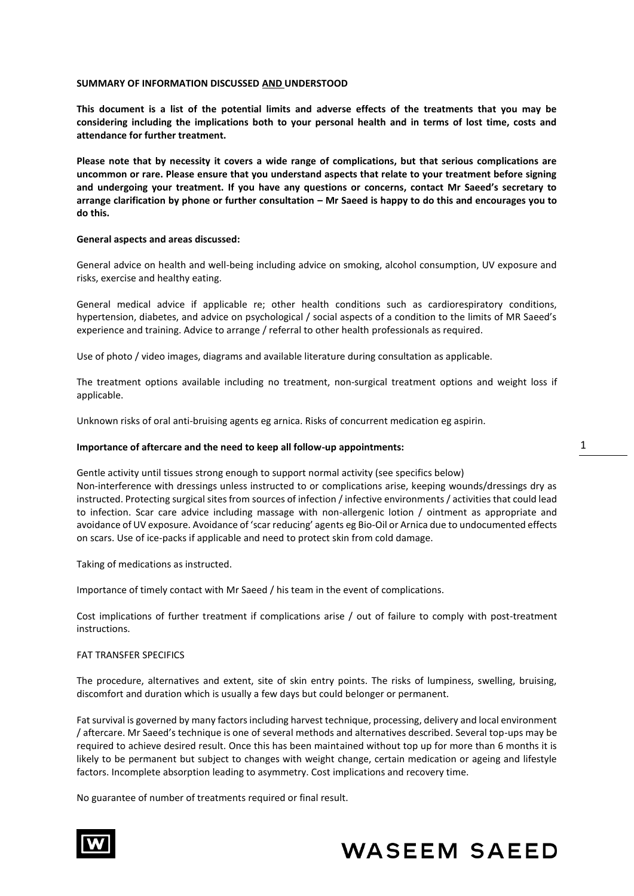## **SUMMARY OF INFORMATION DISCUSSED AND UNDERSTOOD**

**This document is a list of the potential limits and adverse effects of the treatments that you may be considering including the implications both to your personal health and in terms of lost time, costs and attendance for further treatment.** 

**Please note that by necessity it covers a wide range of complications, but that serious complications are uncommon or rare. Please ensure that you understand aspects that relate to your treatment before signing and undergoing your treatment. If you have any questions or concerns, contact Mr Saeed's secretary to arrange clarification by phone or further consultation – Mr Saeed is happy to do this and encourages you to do this.**

## **General aspects and areas discussed:**

General advice on health and well-being including advice on smoking, alcohol consumption, UV exposure and risks, exercise and healthy eating.

General medical advice if applicable re; other health conditions such as cardiorespiratory conditions, hypertension, diabetes, and advice on psychological / social aspects of a condition to the limits of MR Saeed's experience and training. Advice to arrange / referral to other health professionals as required.

Use of photo / video images, diagrams and available literature during consultation as applicable.

The treatment options available including no treatment, non-surgical treatment options and weight loss if applicable.

Unknown risks of oral anti-bruising agents eg arnica. Risks of concurrent medication eg aspirin.

## **Importance of aftercare and the need to keep all follow-up appointments:**

Gentle activity until tissues strong enough to support normal activity (see specifics below) Non-interference with dressings unless instructed to or complications arise, keeping wounds/dressings dry as instructed. Protecting surgical sites from sources of infection / infective environments / activities that could lead to infection. Scar care advice including massage with non-allergenic lotion / ointment as appropriate and avoidance of UV exposure. Avoidance of 'scar reducing' agents eg Bio-Oil or Arnica due to undocumented effects on scars. Use of ice-packs if applicable and need to protect skin from cold damage.

Taking of medications as instructed.

Importance of timely contact with Mr Saeed / his team in the event of complications.

Cost implications of further treatment if complications arise / out of failure to comply with post-treatment instructions.

## FAT TRANSFER SPECIFICS

The procedure, alternatives and extent, site of skin entry points. The risks of lumpiness, swelling, bruising, discomfort and duration which is usually a few days but could belonger or permanent.

Fat survival is governed by many factors including harvest technique, processing, delivery and local environment / aftercare. Mr Saeed's technique is one of several methods and alternatives described. Several top-ups may be required to achieve desired result. Once this has been maintained without top up for more than 6 months it is likely to be permanent but subject to changes with weight change, certain medication or ageing and lifestyle factors. Incomplete absorption leading to asymmetry. Cost implications and recovery time.

No guarantee of number of treatments required or final result.



# **WASEEM SAEED**

1